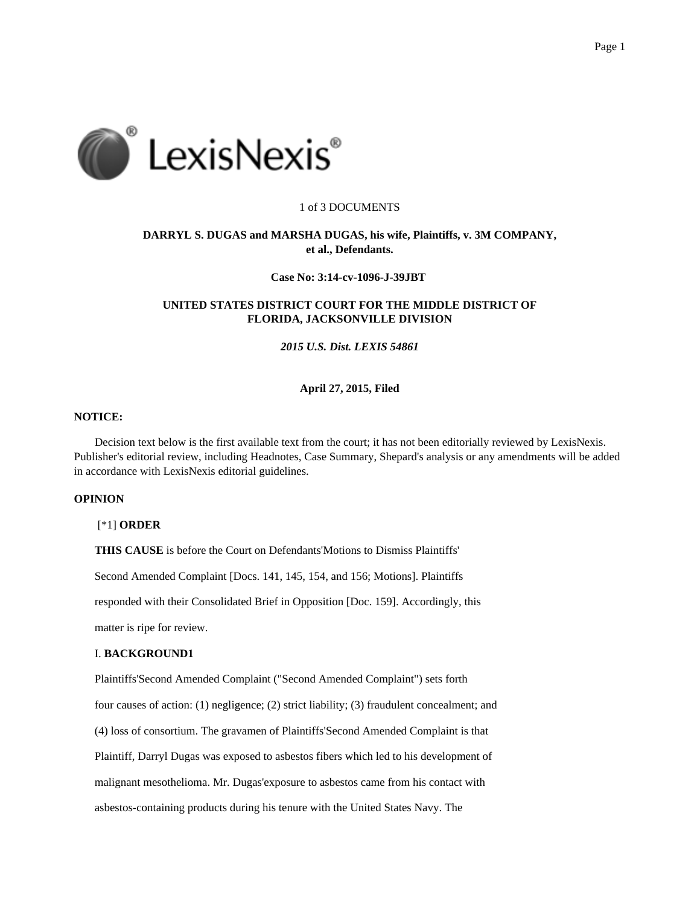

### 1 of 3 DOCUMENTS

# **DARRYL S. DUGAS and MARSHA DUGAS, his wife, Plaintiffs, v. 3M COMPANY, et al., Defendants.**

# **Case No: 3:14-cv-1096-J-39JBT**

# **UNITED STATES DISTRICT COURT FOR THE MIDDLE DISTRICT OF FLORIDA, JACKSONVILLE DIVISION**

*2015 U.S. Dist. LEXIS 54861*

### **April 27, 2015, Filed**

# **NOTICE:**

Decision text below is the first available text from the court; it has not been editorially reviewed by LexisNexis. Publisher's editorial review, including Headnotes, Case Summary, Shepard's analysis or any amendments will be added in accordance with LexisNexis editorial guidelines.

# **OPINION**

### [\*1] **ORDER**

**THIS CAUSE** is before the Court on Defendants'Motions to Dismiss Plaintiffs'

Second Amended Complaint [Docs. 141, 145, 154, and 156; Motions]. Plaintiffs

responded with their Consolidated Brief in Opposition [Doc. 159]. Accordingly, this

matter is ripe for review.

# I. **BACKGROUND1**

Plaintiffs'Second Amended Complaint ("Second Amended Complaint") sets forth

four causes of action: (1) negligence; (2) strict liability; (3) fraudulent concealment; and

(4) loss of consortium. The gravamen of Plaintiffs'Second Amended Complaint is that

Plaintiff, Darryl Dugas was exposed to asbestos fibers which led to his development of

malignant mesothelioma. Mr. Dugas'exposure to asbestos came from his contact with

asbestos-containing products during his tenure with the United States Navy. The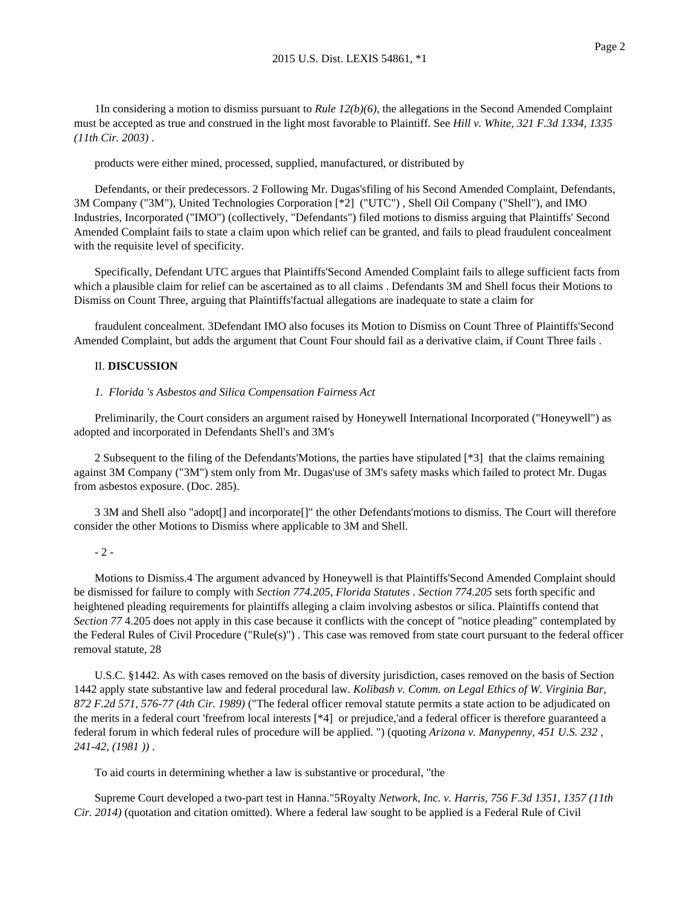1In considering a motion to dismiss pursuant to *Rule 12(b)(6)*, the allegations in the Second Amended Complaint must be accepted as true and construed in the light most favorable to Plaintiff. See *Hill v. White, 321 F.3d 1334, 1335 (11th Cir. 2003)* .

products were either mined, processed, supplied, manufactured, or distributed by

Defendants, or their predecessors. 2 Following Mr. Dugas'sfiling of his Second Amended Complaint, Defendants, 3M Company ("3M"), United Technologies Corporation [\*2] ("UTC") , Shell Oil Company ("Shell"), and IMO Industries, Incorporated ("IMO") (collectively, "Defendants") filed motions to dismiss arguing that Plaintiffs' Second Amended Complaint fails to state a claim upon which relief can be granted, and fails to plead fraudulent concealment with the requisite level of specificity.

Specifically, Defendant UTC argues that Plaintiffs'Second Amended Complaint fails to allege sufficient facts from which a plausible claim for relief can be ascertained as to all claims . Defendants 3M and Shell focus their Motions to Dismiss on Count Three, arguing that Plaintiffs'factual allegations are inadequate to state a claim for

fraudulent concealment. 3Defendant IMO also focuses its Motion to Dismiss on Count Three of Plaintiffs'Second Amended Complaint, but adds the argument that Count Four should fail as a derivative claim, if Count Three fails .

# II. **DISCUSSION**

### *1. Florida 's Asbestos and Silica Compensation Fairness Act*

Preliminarily, the Court considers an argument raised by Honeywell International Incorporated ("Honeywell") as adopted and incorporated in Defendants Shell's and 3M's

2 Subsequent to the filing of the Defendants'Motions, the parties have stipulated [\*3] that the claims remaining against 3M Company ("3M") stem only from Mr. Dugas'use of 3M's safety masks which failed to protect Mr. Dugas from asbestos exposure. (Doc. 285).

3 3M and Shell also "adopt[] and incorporate[]" the other Defendants'motions to dismiss. The Court will therefore consider the other Motions to Dismiss where applicable to 3M and Shell.

### - 2 -

Motions to Dismiss.4 The argument advanced by Honeywell is that Plaintiffs'Second Amended Complaint should be dismissed for failure to comply with *Section 774.205*, *Florida Statutes . Section 774.205* sets forth specific and heightened pleading requirements for plaintiffs alleging a claim involving asbestos or silica. Plaintiffs contend that *Section 77* 4.205 does not apply in this case because it conflicts with the concept of "notice pleading" contemplated by the Federal Rules of Civil Procedure ("Rule(s)") . This case was removed from state court pursuant to the federal officer removal statute, 28

U.S.C. §1442. As with cases removed on the basis of diversity jurisdiction, cases removed on the basis of Section 1442 apply state substantive law and federal procedural law. *Kolibash v. Comm. on Legal Ethics of W. Virginia Bar, 872 F.2d 571, 576-77 (4th Cir. 1989)* ("The federal officer removal statute permits a state action to be adjudicated on the merits in a federal court 'freefrom local interests [\*4] or prejudice,'and a federal officer is therefore guaranteed a federal forum in which federal rules of procedure will be applied. ") (quoting *Arizona v. Manypenny, 451 U.S. 232 , 241-42, (1981 ))* .

To aid courts in determining whether a law is substantive or procedural, "the

Supreme Court developed a two-part test in Hanna."5Royalty *Network, Inc. v. Harris, 756 F.3d 1351, 1357 (11th Cir. 2014)* (quotation and citation omitted). Where a federal law sought to be applied is a Federal Rule of Civil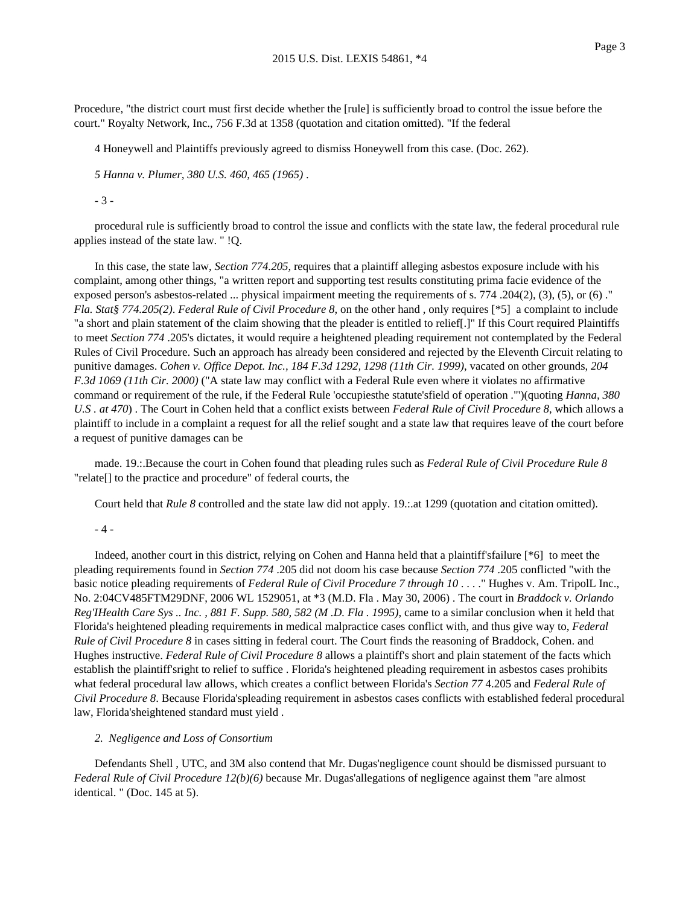Procedure, "the district court must first decide whether the [rule] is sufficiently broad to control the issue before the court." Royalty Network, Inc., 756 F.3d at 1358 (quotation and citation omitted). "If the federal

4 Honeywell and Plaintiffs previously agreed to dismiss Honeywell from this case. (Doc. 262).

*5 Hanna v. Plumer, 380 U.S. 460, 465 (1965)* .

- 3 -

procedural rule is sufficiently broad to control the issue and conflicts with the state law, the federal procedural rule applies instead of the state law. " !Q.

In this case, the state law, *Section 774.205*, requires that a plaintiff alleging asbestos exposure include with his complaint, among other things, "a written report and supporting test results constituting prima facie evidence of the exposed person's asbestos-related ... physical impairment meeting the requirements of s. 774 .204(2), (3), (5), or (6) ." *Fla. Stat§ 774.205(2)*. *Federal Rule of Civil Procedure 8*, on the other hand , only requires [\*5] a complaint to include "a short and plain statement of the claim showing that the pleader is entitled to relief[.]" If this Court required Plaintiffs to meet *Section 774* .205's dictates, it would require a heightened pleading requirement not contemplated by the Federal Rules of Civil Procedure. Such an approach has already been considered and rejected by the Eleventh Circuit relating to punitive damages. *Cohen v. Office Depot. Inc., 184 F.3d 1292, 1298 (11th Cir. 1999)*, vacated on other grounds, *204 F.3d 1069 (11th Cir. 2000)* ("A state law may conflict with a Federal Rule even where it violates no affirmative command or requirement of the rule, if the Federal Rule 'occupiesthe statute'sfield of operation ."')(quoting *Hanna, 380 U.S . at 470*) . The Court in Cohen held that a conflict exists between *Federal Rule of Civil Procedure 8*, which allows a plaintiff to include in a complaint a request for all the relief sought and a state law that requires leave of the court before a request of punitive damages can be

made. 19.:.Because the court in Cohen found that pleading rules such as *Federal Rule of Civil Procedure Rule 8* "relate[] to the practice and procedure" of federal courts, the

Court held that *Rule 8* controlled and the state law did not apply. 19.:.at 1299 (quotation and citation omitted).

#### - 4 -

Indeed, another court in this district, relying on Cohen and Hanna held that a plaintiff'sfailure [\*6] to meet the pleading requirements found in *Section 774* .205 did not doom his case because *Section 774* .205 conflicted "with the basic notice pleading requirements of *Federal Rule of Civil Procedure 7 through 10* . . . ." Hughes v. Am. TripolL Inc., No. 2:04CV485FTM29DNF, 2006 WL 1529051, at \*3 (M.D. Fla . May 30, 2006) . The court in *Braddock v. Orlando Reg'IHealth Care Sys .. Inc. , 881 F. Supp. 580, 582 (M .D. Fla . 1995)*, came to a similar conclusion when it held that Florida's heightened pleading requirements in medical malpractice cases conflict with, and thus give way to, *Federal Rule of Civil Procedure 8* in cases sitting in federal court. The Court finds the reasoning of Braddock, Cohen. and Hughes instructive. *Federal Rule of Civil Procedure 8* allows a plaintiff's short and plain statement of the facts which establish the plaintiff'sright to relief to suffice . Florida's heightened pleading requirement in asbestos cases prohibits what federal procedural law allows, which creates a conflict between Florida's *Section 77* 4.205 and *Federal Rule of Civil Procedure 8*. Because Florida'spleading requirement in asbestos cases conflicts with established federal procedural law, Florida'sheightened standard must yield .

### *2. Negligence and Loss of Consortium*

Defendants Shell , UTC, and 3M also contend that Mr. Dugas'negligence count should be dismissed pursuant to *Federal Rule of Civil Procedure 12(b)(6)* because Mr. Dugas'allegations of negligence against them "are almost identical. " (Doc. 145 at 5).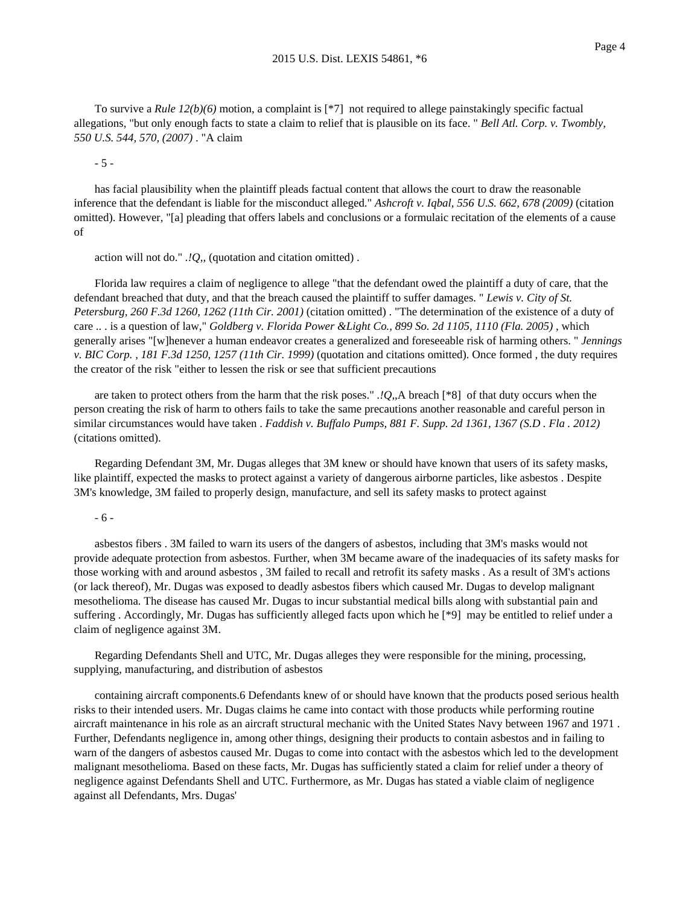To survive a *Rule 12(b)(6)* motion, a complaint is [\*7] not required to allege painstakingly specific factual allegations, "but only enough facts to state a claim to relief that is plausible on its face. " *Bell Atl. Corp. v. Twombly, 550 U.S. 544, 570, (2007)* . "A claim

- 5 -

has facial plausibility when the plaintiff pleads factual content that allows the court to draw the reasonable inference that the defendant is liable for the misconduct alleged." *Ashcroft v. Iqbal, 556 U.S. 662, 678 (2009)* (citation omitted). However, "[a] pleading that offers labels and conclusions or a formulaic recitation of the elements of a cause of

action will not do." *.!Q,,* (quotation and citation omitted) .

Florida law requires a claim of negligence to allege "that the defendant owed the plaintiff a duty of care, that the defendant breached that duty, and that the breach caused the plaintiff to suffer damages. " *Lewis v. City of St. Petersburg, 260 F.3d 1260, 1262 (11th Cir. 2001)* (citation omitted) . "The determination of the existence of a duty of care .. . is a question of law," *Goldberg v. Florida Power &Light Co., 899 So. 2d 1105, 1110 (Fla. 2005)* , which generally arises "[w]henever a human endeavor creates a generalized and foreseeable risk of harming others. " *Jennings v. BIC Corp. , 181 F.3d 1250, 1257 (11th Cir. 1999)* (quotation and citations omitted). Once formed , the duty requires the creator of the risk "either to lessen the risk or see that sufficient precautions

are taken to protect others from the harm that the risk poses." *.!Q,,*A breach [\*8] of that duty occurs when the person creating the risk of harm to others fails to take the same precautions another reasonable and careful person in similar circumstances would have taken . *Faddish v. Buffalo Pumps, 881 F. Supp. 2d 1361, 1367 (S.D . Fla . 2012)* (citations omitted).

Regarding Defendant 3M, Mr. Dugas alleges that 3M knew or should have known that users of its safety masks, like plaintiff, expected the masks to protect against a variety of dangerous airborne particles, like asbestos . Despite 3M's knowledge, 3M failed to properly design, manufacture, and sell its safety masks to protect against

# - 6 -

asbestos fibers . 3M failed to warn its users of the dangers of asbestos, including that 3M's masks would not provide adequate protection from asbestos. Further, when 3M became aware of the inadequacies of its safety masks for those working with and around asbestos , 3M failed to recall and retrofit its safety masks . As a result of 3M's actions (or lack thereof), Mr. Dugas was exposed to deadly asbestos fibers which caused Mr. Dugas to develop malignant mesothelioma. The disease has caused Mr. Dugas to incur substantial medical bills along with substantial pain and suffering . Accordingly, Mr. Dugas has sufficiently alleged facts upon which he [\*9] may be entitled to relief under a claim of negligence against 3M.

Regarding Defendants Shell and UTC, Mr. Dugas alleges they were responsible for the mining, processing, supplying, manufacturing, and distribution of asbestos

containing aircraft components.6 Defendants knew of or should have known that the products posed serious health risks to their intended users. Mr. Dugas claims he came into contact with those products while performing routine aircraft maintenance in his role as an aircraft structural mechanic with the United States Navy between 1967 and 1971 . Further, Defendants negligence in, among other things, designing their products to contain asbestos and in failing to warn of the dangers of asbestos caused Mr. Dugas to come into contact with the asbestos which led to the development malignant mesothelioma. Based on these facts, Mr. Dugas has sufficiently stated a claim for relief under a theory of negligence against Defendants Shell and UTC. Furthermore, as Mr. Dugas has stated a viable claim of negligence against all Defendants, Mrs. Dugas'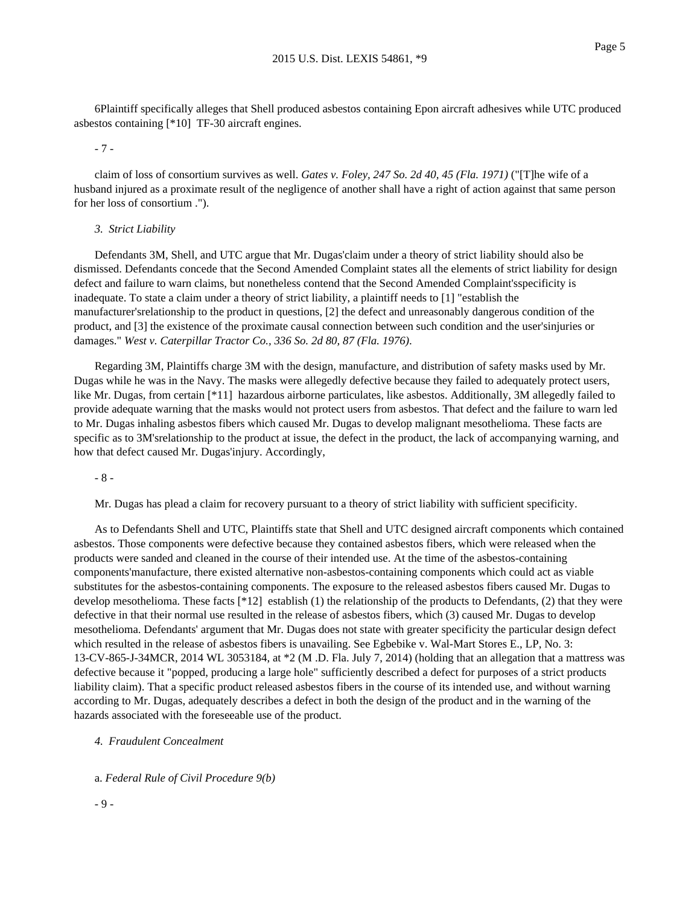6Plaintiff specifically alleges that Shell produced asbestos containing Epon aircraft adhesives while UTC produced asbestos containing [\*10] TF-30 aircraft engines.

- 7 -

claim of loss of consortium survives as well. *Gates v. Foley, 247 So. 2d 40, 45 (Fla. 1971)* ("[T]he wife of a husband injured as a proximate result of the negligence of another shall have a right of action against that same person for her loss of consortium .").

#### *3. Strict Liability*

Defendants 3M, Shell, and UTC argue that Mr. Dugas'claim under a theory of strict liability should also be dismissed. Defendants concede that the Second Amended Complaint states all the elements of strict liability for design defect and failure to warn claims, but nonetheless contend that the Second Amended Complaint'sspecificity is inadequate. To state a claim under a theory of strict liability, a plaintiff needs to [1] "establish the manufacturer'srelationship to the product in questions, [2] the defect and unreasonably dangerous condition of the product, and [3] the existence of the proximate causal connection between such condition and the user'sinjuries or damages." *West v. Caterpillar Tractor Co., 336 So. 2d 80, 87 (Fla. 1976)*.

Regarding 3M, Plaintiffs charge 3M with the design, manufacture, and distribution of safety masks used by Mr. Dugas while he was in the Navy. The masks were allegedly defective because they failed to adequately protect users, like Mr. Dugas, from certain [\*11] hazardous airborne particulates, like asbestos. Additionally, 3M allegedly failed to provide adequate warning that the masks would not protect users from asbestos. That defect and the failure to warn led to Mr. Dugas inhaling asbestos fibers which caused Mr. Dugas to develop malignant mesothelioma. These facts are specific as to 3M'srelationship to the product at issue, the defect in the product, the lack of accompanying warning, and how that defect caused Mr. Dugas'injury. Accordingly,

- 8 -

Mr. Dugas has plead a claim for recovery pursuant to a theory of strict liability with sufficient specificity.

As to Defendants Shell and UTC, Plaintiffs state that Shell and UTC designed aircraft components which contained asbestos. Those components were defective because they contained asbestos fibers, which were released when the products were sanded and cleaned in the course of their intended use. At the time of the asbestos-containing components'manufacture, there existed alternative non-asbestos-containing components which could act as viable substitutes for the asbestos-containing components. The exposure to the released asbestos fibers caused Mr. Dugas to develop mesothelioma. These facts [\*12] establish (1) the relationship of the products to Defendants, (2) that they were defective in that their normal use resulted in the release of asbestos fibers, which (3) caused Mr. Dugas to develop mesothelioma. Defendants' argument that Mr. Dugas does not state with greater specificity the particular design defect which resulted in the release of asbestos fibers is unavailing. See Egbebike v. Wal-Mart Stores E., LP, No. 3: 13-CV-865-J-34MCR, 2014 WL 3053184, at \*2 (M .D. Fla. July 7, 2014) (holding that an allegation that a mattress was defective because it "popped, producing a large hole" sufficiently described a defect for purposes of a strict products liability claim). That a specific product released asbestos fibers in the course of its intended use, and without warning according to Mr. Dugas, adequately describes a defect in both the design of the product and in the warning of the hazards associated with the foreseeable use of the product.

### *4. Fraudulent Concealment*

a. *Federal Rule of Civil Procedure 9(b)*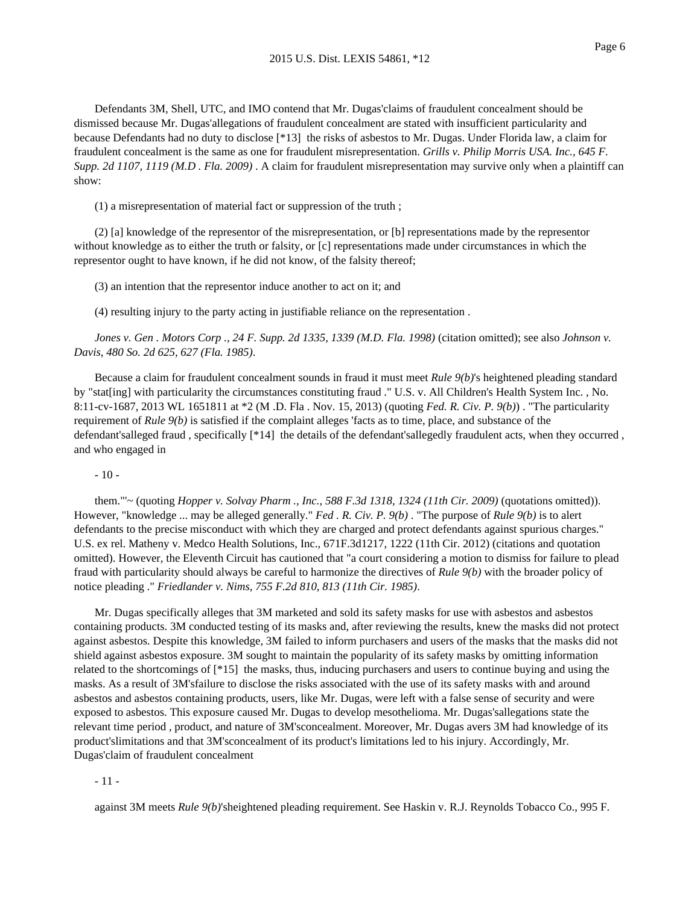Defendants 3M, Shell, UTC, and IMO contend that Mr. Dugas'claims of fraudulent concealment should be dismissed because Mr. Dugas'allegations of fraudulent concealment are stated with insufficient particularity and because Defendants had no duty to disclose [\*13] the risks of asbestos to Mr. Dugas. Under Florida law, a claim for fraudulent concealment is the same as one for fraudulent misrepresentation. *Grills v. Philip Morris USA. Inc., 645 F. Supp. 2d 1107, 1119 (M.D . Fla. 2009)* . A claim for fraudulent misrepresentation may survive only when a plaintiff can show:

(1) a misrepresentation of material fact or suppression of the truth ;

(2) [a] knowledge of the representor of the misrepresentation, or [b] representations made by the representor without knowledge as to either the truth or falsity, or  $[c]$  representations made under circumstances in which the representor ought to have known, if he did not know, of the falsity thereof;

(3) an intention that the representor induce another to act on it; and

(4) resulting injury to the party acting in justifiable reliance on the representation .

*Jones v. Gen . Motors Corp ., 24 F. Supp. 2d 1335, 1339 (M.D. Fla. 1998)* (citation omitted); see also *Johnson v. Davis, 480 So. 2d 625, 627 (Fla. 1985)*.

Because a claim for fraudulent concealment sounds in fraud it must meet *Rule 9(b)*'s heightened pleading standard by "stat[ing] with particularity the circumstances constituting fraud ." U.S. v. All Children's Health System Inc. , No. 8:11-cv-1687, 2013 WL 1651811 at \*2 (M .D. Fla . Nov. 15, 2013) (quoting *Fed. R. Civ. P. 9(b)*) . "The particularity requirement of *Rule 9(b)* is satisfied if the complaint alleges 'facts as to time, place, and substance of the defendant'salleged fraud , specifically [\*14] the details of the defendant'sallegedly fraudulent acts, when they occurred , and who engaged in

- 10 -

them."'~ (quoting *Hopper v. Solvay Pharm ., Inc., 588 F.3d 1318, 1324 (11th Cir. 2009)* (quotations omitted)). However, "knowledge ... may be alleged generally." *Fed . R. Civ. P. 9(b)* . "The purpose of *Rule 9(b)* is to alert defendants to the precise misconduct with which they are charged and protect defendants against spurious charges." U.S. ex rel. Matheny v. Medco Health Solutions, Inc., 671F.3d1217, 1222 (11th Cir. 2012) (citations and quotation omitted). However, the Eleventh Circuit has cautioned that "a court considering a motion to dismiss for failure to plead fraud with particularity should always be careful to harmonize the directives of *Rule 9(b)* with the broader policy of notice pleading ." *Friedlander v. Nims, 755 F.2d 810, 813 (11th Cir. 1985)*.

Mr. Dugas specifically alleges that 3M marketed and sold its safety masks for use with asbestos and asbestos containing products. 3M conducted testing of its masks and, after reviewing the results, knew the masks did not protect against asbestos. Despite this knowledge, 3M failed to inform purchasers and users of the masks that the masks did not shield against asbestos exposure. 3M sought to maintain the popularity of its safety masks by omitting information related to the shortcomings of [\*15] the masks, thus, inducing purchasers and users to continue buying and using the masks. As a result of 3M'sfailure to disclose the risks associated with the use of its safety masks with and around asbestos and asbestos containing products, users, like Mr. Dugas, were left with a false sense of security and were exposed to asbestos. This exposure caused Mr. Dugas to develop mesothelioma. Mr. Dugas'sallegations state the relevant time period , product, and nature of 3M'sconcealment. Moreover, Mr. Dugas avers 3M had knowledge of its product'slimitations and that 3M'sconcealment of its product's limitations led to his injury. Accordingly, Mr. Dugas'claim of fraudulent concealment

- 11 -

against 3M meets *Rule 9(b)*'sheightened pleading requirement. See Haskin v. R.J. Reynolds Tobacco Co., 995 F.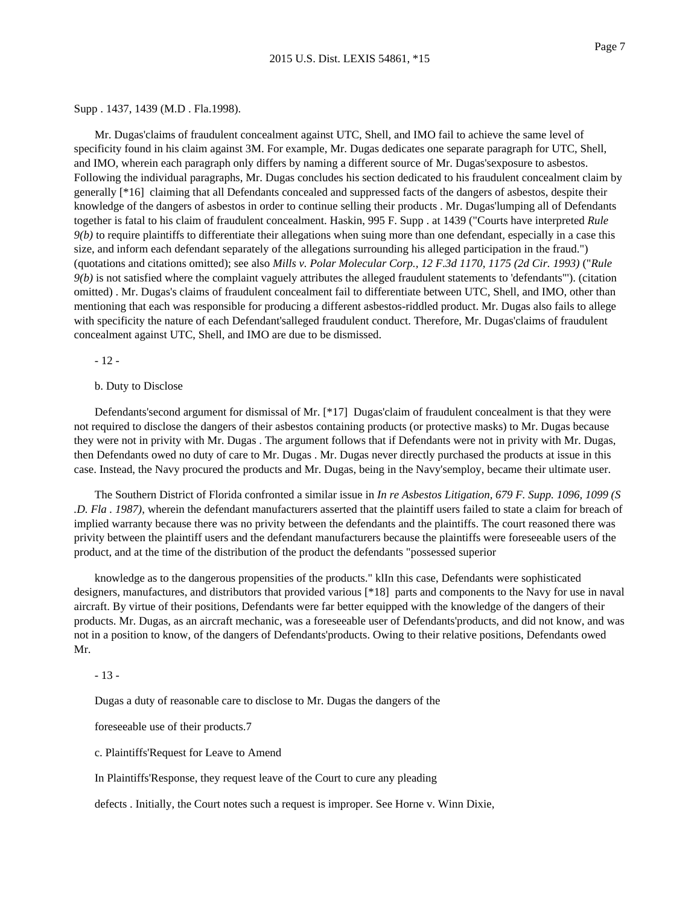### Supp . 1437, 1439 (M.D . Fla.1998).

Mr. Dugas'claims of fraudulent concealment against UTC, Shell, and IMO fail to achieve the same level of specificity found in his claim against 3M. For example, Mr. Dugas dedicates one separate paragraph for UTC, Shell, and IMO, wherein each paragraph only differs by naming a different source of Mr. Dugas'sexposure to asbestos. Following the individual paragraphs, Mr. Dugas concludes his section dedicated to his fraudulent concealment claim by generally [\*16] claiming that all Defendants concealed and suppressed facts of the dangers of asbestos, despite their knowledge of the dangers of asbestos in order to continue selling their products . Mr. Dugas'lumping all of Defendants together is fatal to his claim of fraudulent concealment. Haskin, 995 F. Supp . at 1439 ("Courts have interpreted *Rule 9(b)* to require plaintiffs to differentiate their allegations when suing more than one defendant, especially in a case this size, and inform each defendant separately of the allegations surrounding his alleged participation in the fraud.") (quotations and citations omitted); see also *Mills v. Polar Molecular Corp., 12 F.3d 1170, 1175 (2d Cir. 1993)* ("*Rule 9(b)* is not satisfied where the complaint vaguely attributes the alleged fraudulent statements to 'defendants"'). (citation omitted) . Mr. Dugas's claims of fraudulent concealment fail to differentiate between UTC, Shell, and IMO, other than mentioning that each was responsible for producing a different asbestos-riddled product. Mr. Dugas also fails to allege with specificity the nature of each Defendant'salleged fraudulent conduct. Therefore, Mr. Dugas'claims of fraudulent concealment against UTC, Shell, and IMO are due to be dismissed.

- 12 -

### b. Duty to Disclose

Defendants'second argument for dismissal of Mr. [\*17] Dugas'claim of fraudulent concealment is that they were not required to disclose the dangers of their asbestos containing products (or protective masks) to Mr. Dugas because they were not in privity with Mr. Dugas . The argument follows that if Defendants were not in privity with Mr. Dugas, then Defendants owed no duty of care to Mr. Dugas . Mr. Dugas never directly purchased the products at issue in this case. Instead, the Navy procured the products and Mr. Dugas, being in the Navy'semploy, became their ultimate user.

The Southern District of Florida confronted a similar issue in *In re Asbestos Litigation, 679 F. Supp. 1096, 1099 (S .D. Fla . 1987)*, wherein the defendant manufacturers asserted that the plaintiff users failed to state a claim for breach of implied warranty because there was no privity between the defendants and the plaintiffs. The court reasoned there was privity between the plaintiff users and the defendant manufacturers because the plaintiffs were foreseeable users of the product, and at the time of the distribution of the product the defendants "possessed superior

knowledge as to the dangerous propensities of the products." klIn this case, Defendants were sophisticated designers, manufactures, and distributors that provided various [\*18] parts and components to the Navy for use in naval aircraft. By virtue of their positions, Defendants were far better equipped with the knowledge of the dangers of their products. Mr. Dugas, as an aircraft mechanic, was a foreseeable user of Defendants'products, and did not know, and was not in a position to know, of the dangers of Defendants'products. Owing to their relative positions, Defendants owed Mr.

# - 13 -

Dugas a duty of reasonable care to disclose to Mr. Dugas the dangers of the

foreseeable use of their products.7

c. Plaintiffs'Request for Leave to Amend

In Plaintiffs'Response, they request leave of the Court to cure any pleading

defects . Initially, the Court notes such a request is improper. See Horne v. Winn Dixie,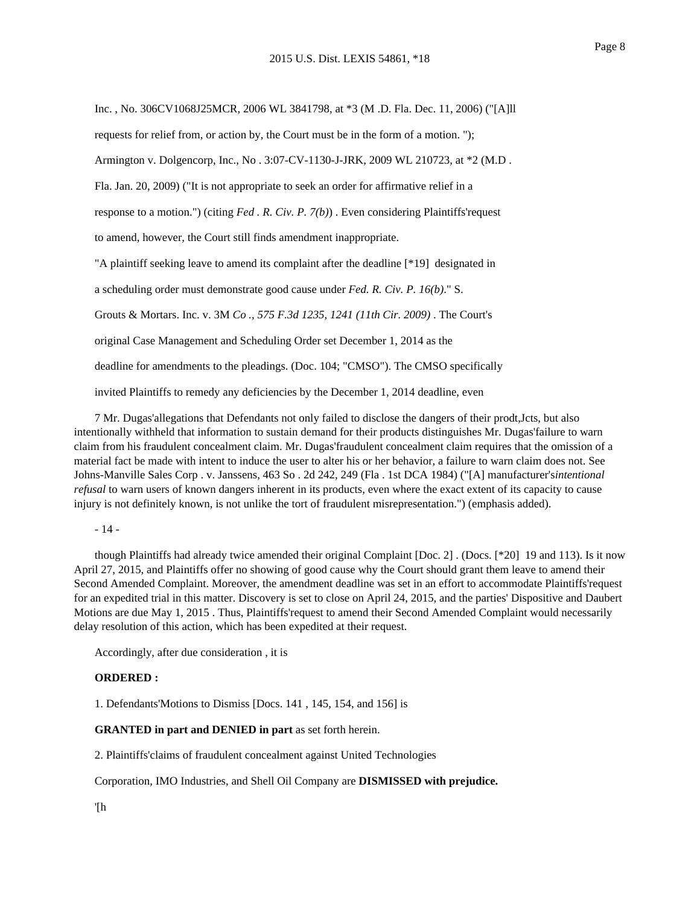Inc. , No. 306CV1068J25MCR, 2006 WL 3841798, at \*3 (M .D. Fla. Dec. 11, 2006) ("[A]ll requests for relief from, or action by, the Court must be in the form of a motion. "); Armington v. Dolgencorp, Inc., No . 3:07-CV-1130-J-JRK, 2009 WL 210723, at \*2 (M.D . Fla. Jan. 20, 2009) ("It is not appropriate to seek an order for affirmative relief in a response to a motion.") (citing *Fed . R. Civ. P. 7(b)*) . Even considering Plaintiffs'request to amend, however, the Court still finds amendment inappropriate. "A plaintiff seeking leave to amend its complaint after the deadline [\*19] designated in a scheduling order must demonstrate good cause under *Fed. R. Civ. P. 16(b)*." S. Grouts & Mortars. Inc. v. 3M *Co ., 575 F.3d 1235, 1241 (11th Cir. 2009)* . The Court's original Case Management and Scheduling Order set December 1, 2014 as the deadline for amendments to the pleadings. (Doc. 104; "CMSO"). The CMSO specifically invited Plaintiffs to remedy any deficiencies by the December 1, 2014 deadline, even

7 Mr. Dugas'allegations that Defendants not only failed to disclose the dangers of their prodt,Jcts, but also intentionally withheld that information to sustain demand for their products distinguishes Mr. Dugas'failure to warn claim from his fraudulent concealment claim. Mr. Dugas'fraudulent concealment claim requires that the omission of a material fact be made with intent to induce the user to alter his or her behavior, a failure to warn claim does not. See Johns-Manville Sales Corp . v. Janssens, 463 So . 2d 242, 249 (Fla . 1st DCA 1984) ("[A] manufacturer's*intentional refusal* to warn users of known dangers inherent in its products, even where the exact extent of its capacity to cause injury is not definitely known, is not unlike the tort of fraudulent misrepresentation.") (emphasis added).

- 14 -

though Plaintiffs had already twice amended their original Complaint [Doc. 2] . (Docs. [\*20] 19 and 113). Is it now April 27, 2015, and Plaintiffs offer no showing of good cause why the Court should grant them leave to amend their Second Amended Complaint. Moreover, the amendment deadline was set in an effort to accommodate Plaintiffs'request for an expedited trial in this matter. Discovery is set to close on April 24, 2015, and the parties' Dispositive and Daubert Motions are due May 1, 2015 . Thus, Plaintiffs'request to amend their Second Amended Complaint would necessarily delay resolution of this action, which has been expedited at their request.

Accordingly, after due consideration , it is

# **ORDERED :**

1. Defendants'Motions to Dismiss [Docs. 141 , 145, 154, and 156] is

### **GRANTED in part and DENIED in part** as set forth herein.

2. Plaintiffs'claims of fraudulent concealment against United Technologies

Corporation, IMO Industries, and Shell Oil Company are **DISMISSED with prejudice.**

'[h